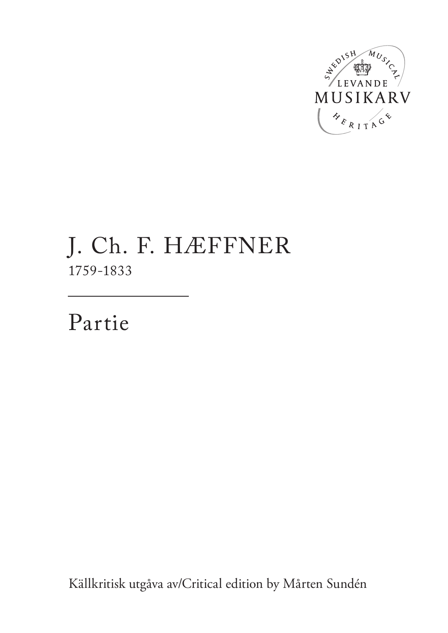

# J. Ch. F. HÆFFNER 1759-1833

Partie

Källkritisk utgåva av/Critical edition by Mårten Sundén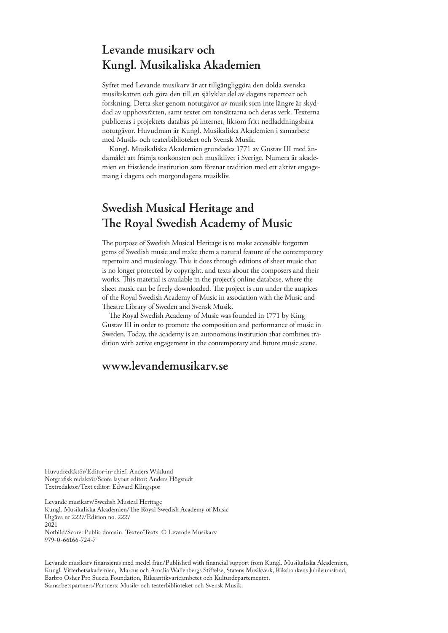# **Levande musikarv och Kungl. Musikaliska Akademien**

Syftet med Levande musikarv är att tillgängliggöra den dolda svenska musikskatten och göra den till en självklar del av dagens repertoar och forskning. Detta sker genom notutgåvor av musik som inte längre är skyddad av upphovsrätten, samt texter om tonsättarna och deras verk. Texterna publiceras i projektets databas på internet, liksom fritt nedladdningsbara notutgåvor. Huvudman är Kungl. Musikaliska Akademien i samarbete med Musik- och teaterbiblioteket och Svensk Musik.

Kungl. Musikaliska Akademien grundades 1771 av Gustav III med ändamålet att främja tonkonsten och musiklivet i Sverige. Numera är akademien en fristående institution som förenar tradition med ett aktivt engagemang i dagens och morgondagens musikliv.

# **Swedish Musical Heritage and The Royal Swedish Academy of Music**

The purpose of Swedish Musical Heritage is to make accessible forgotten gems of Swedish music and make them a natural feature of the contemporary repertoire and musicology. This it does through editions of sheet music that is no longer protected by copyright, and texts about the composers and their works. This material is available in the project's online database, where the sheet music can be freely downloaded. The project is run under the auspices of the Royal Swedish Academy of Music in association with the Music and Theatre Library of Sweden and Svensk Musik.

The Royal Swedish Academy of Music was founded in 1771 by King Gustav III in order to promote the composition and performance of music in Sweden. Today, the academy is an autonomous institution that combines tradition with active engagement in the contemporary and future music scene.

# **www.levandemusikarv.se**

Huvudredaktör/Editor-in-chief: Anders Wiklund Notgrafisk redaktör/Score layout editor: Anders Högstedt Textredaktör/Text editor: Edward Klingspor

Levande musikarv/Swedish Musical Heritage Kungl. Musikaliska Akademien/The Royal Swedish Academy of Music Utgåva nr 2227/Edition no. 2227 2021 Notbild/Score: Public domain. Texter/Texts: © Levande Musikarv 979-0-66166-724-7

Levande musikarv finansieras med medel från/Published with financial support from Kungl. Musikaliska Akademien, Kungl. Vitterhetsakademien, Marcus och Amalia Wallenbergs Stiftelse, Statens Musikverk, Riksbankens Jubileumsfond, Barbro Osher Pro Suecia Foundation, Riksantikvarieämbetet och Kulturdepartementet. Samarbetspartners/Partners: Musik- och teaterbiblioteket och Svensk Musik.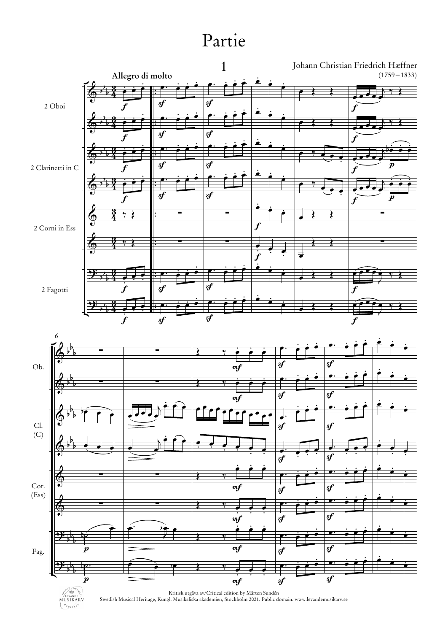# Partie



Swedish Musical Heritage, Kungl. Musikaliska akademien, Stockholm 2021. Public domain. www.levandemusikarv.se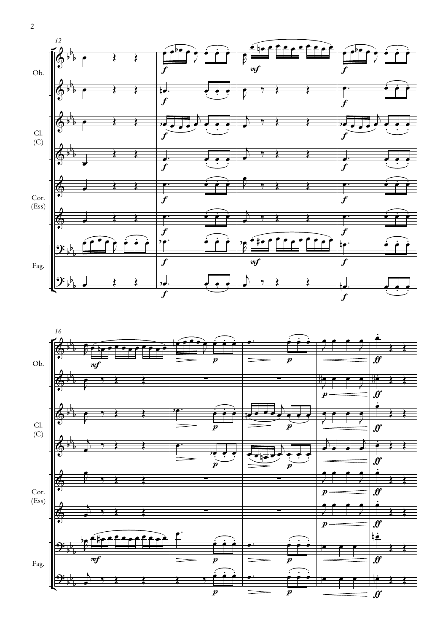

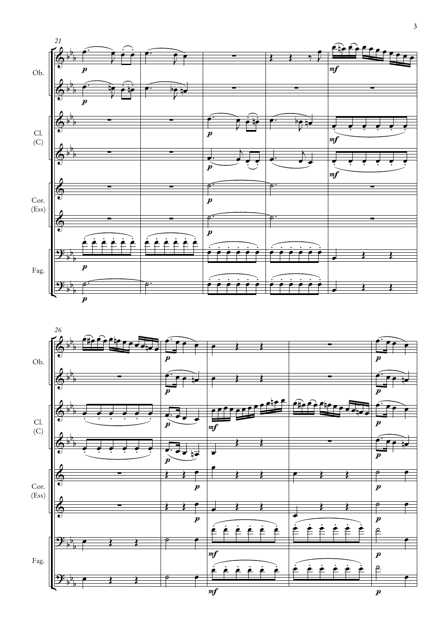

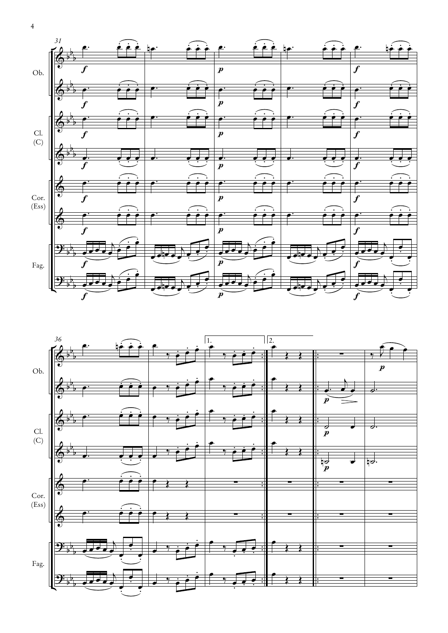

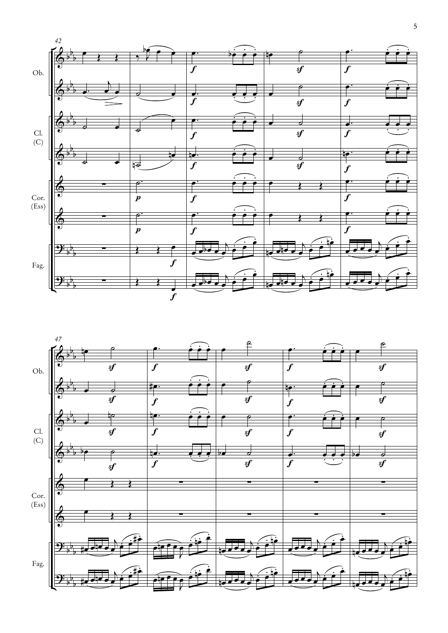

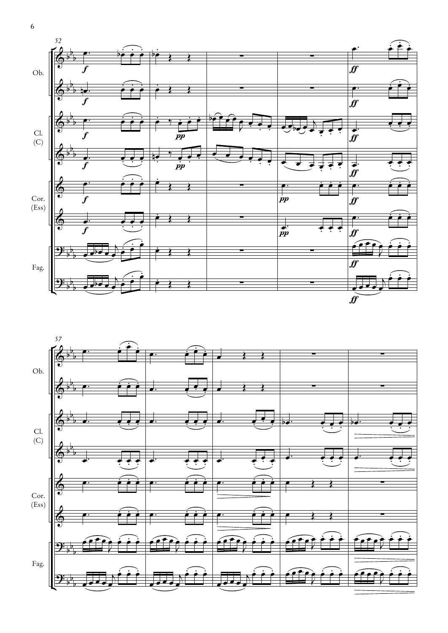

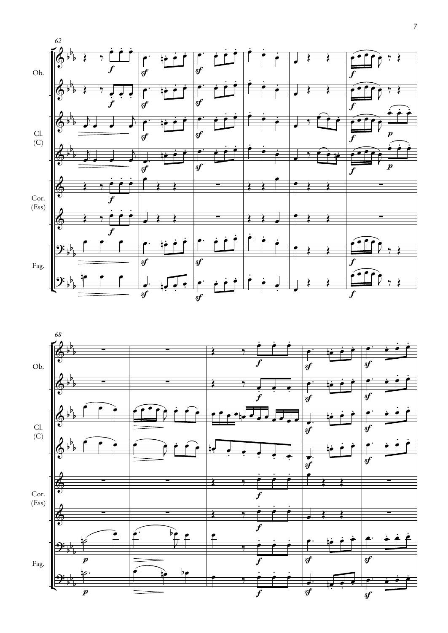

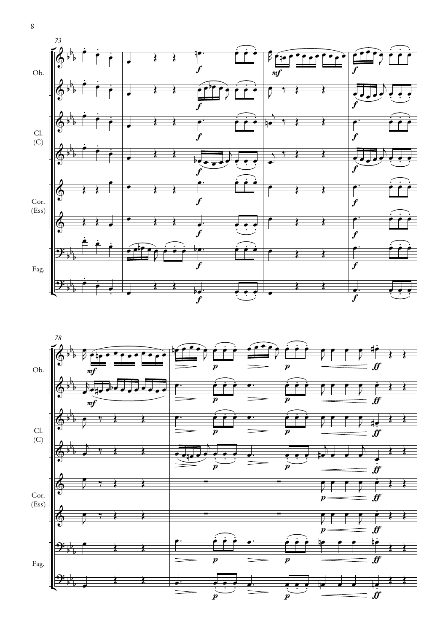

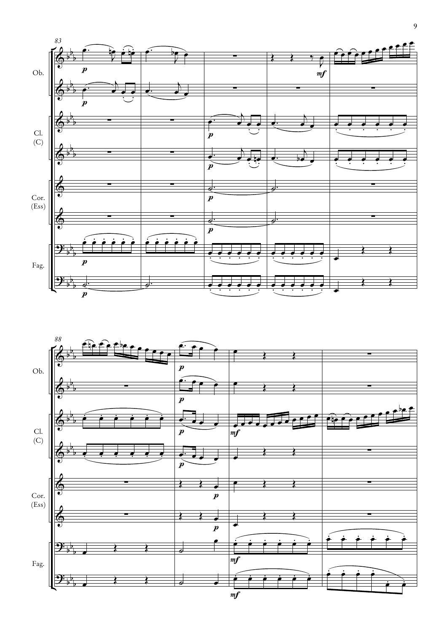

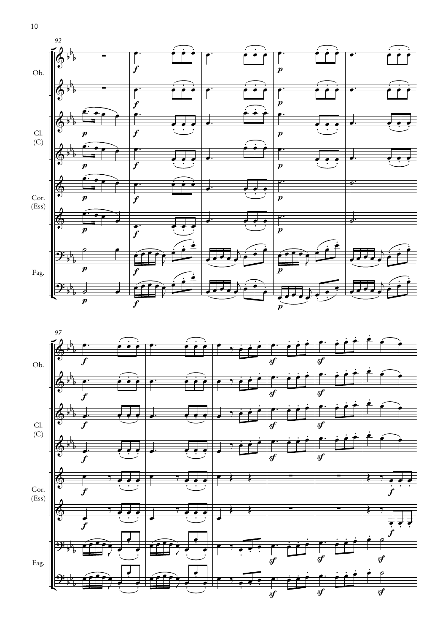

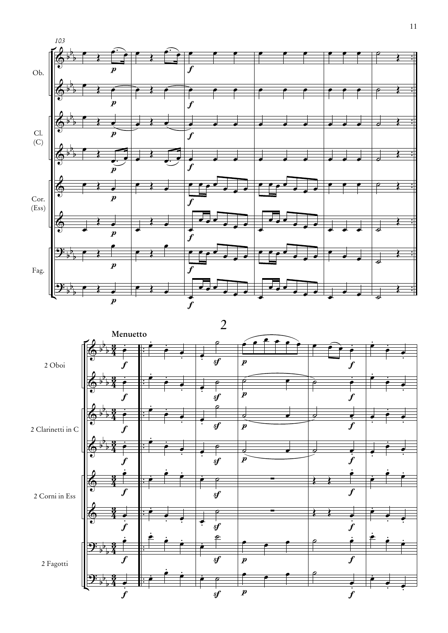

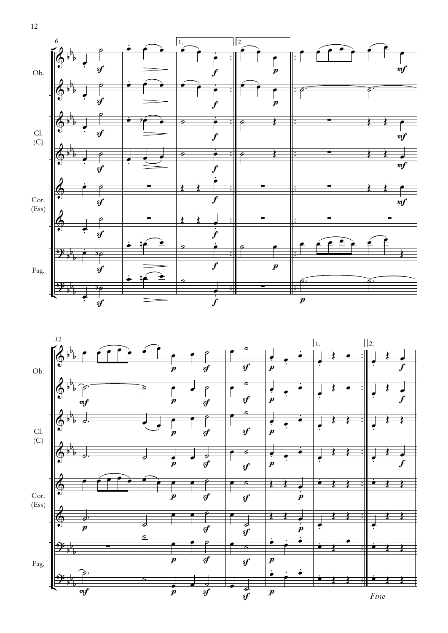

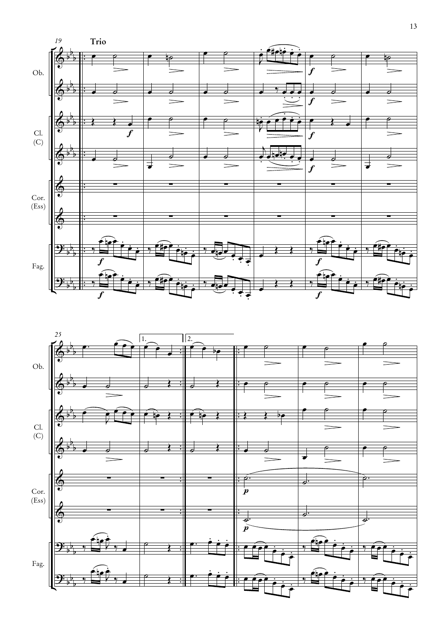

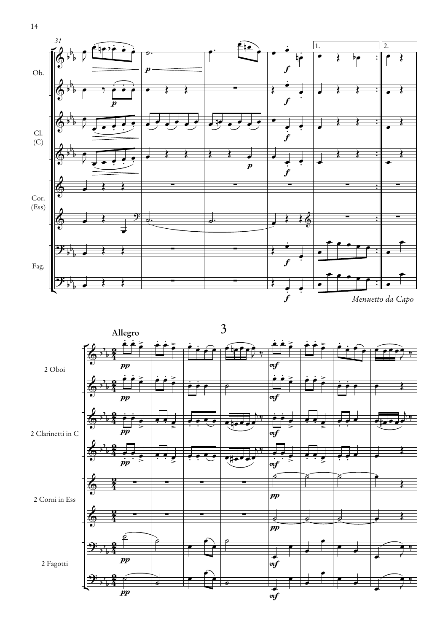

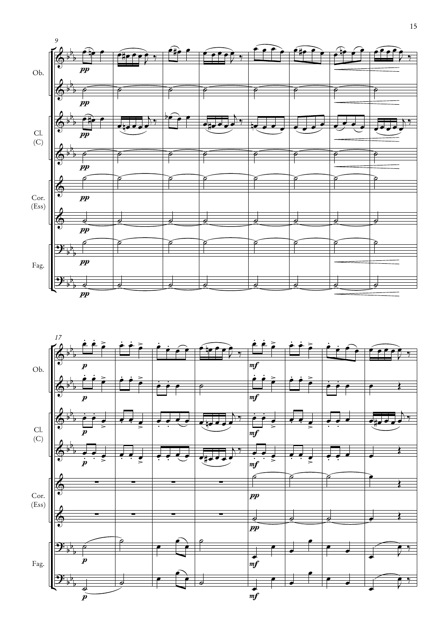

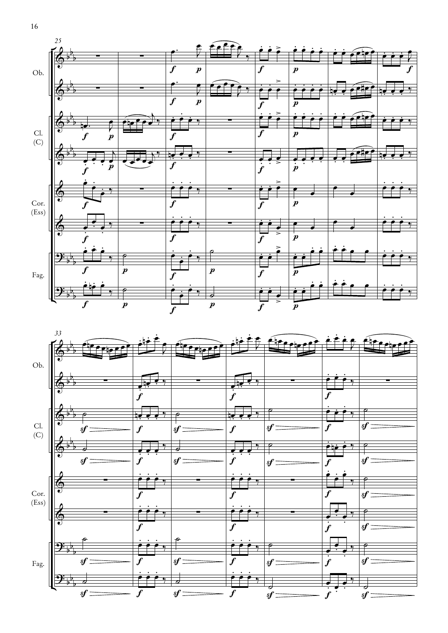

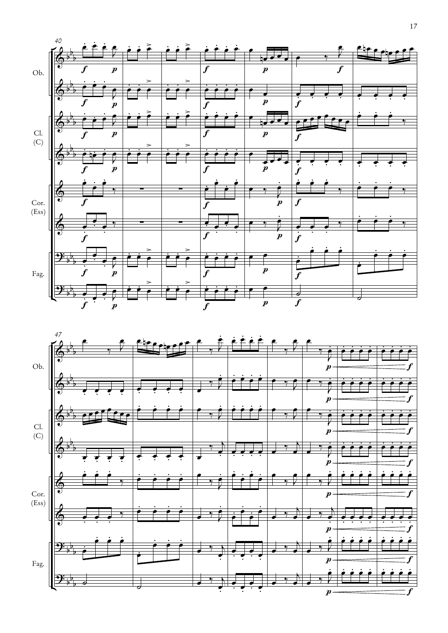

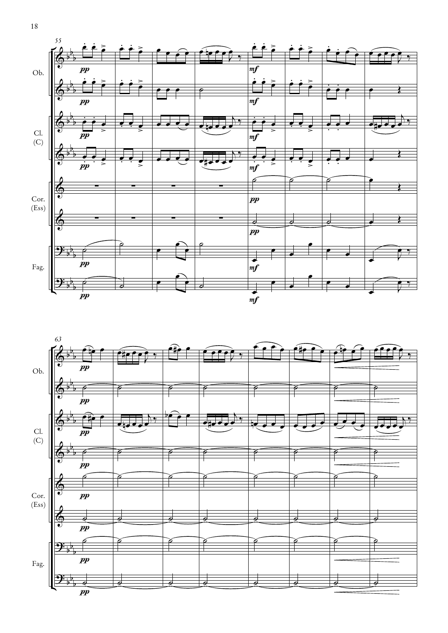

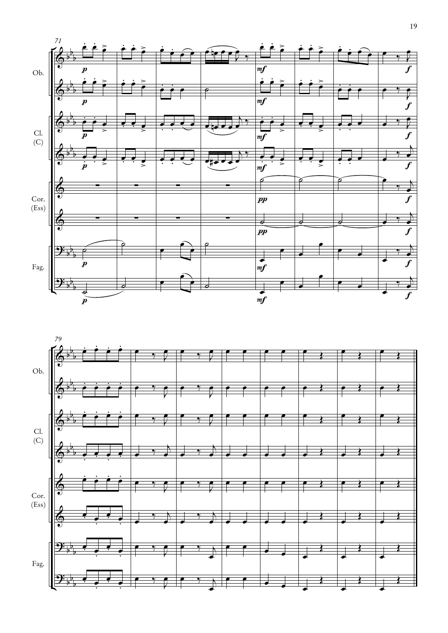

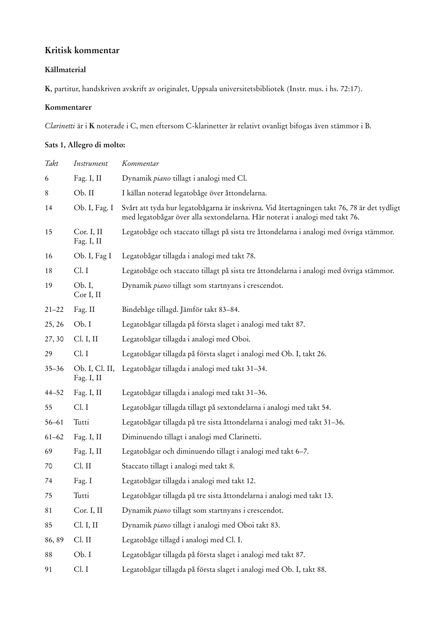## **Kritisk kommentar**

#### **Källmaterial**

**K**, partitur, handskriven avskrift av originalet, Uppsala universitetsbibliotek (Instr. mus. i hs. 72:17).

#### **Kommentarer**

*Clarinetti* är i **K** noterade i C, men eftersom C-klarinetter är relativt ovanligt bifogas även stämmor i B.

## **Sats 1, Allegro di molto:**

| Takt      | Instrument                   | Kommentar                                                                                                                                                                  |
|-----------|------------------------------|----------------------------------------------------------------------------------------------------------------------------------------------------------------------------|
| 6         | Fag. I, II                   | Dynamik piano tillagt i analogi med Cl.                                                                                                                                    |
| 8         | Ob. II                       | I källan noterad legatobåge över åttondelarna.                                                                                                                             |
| 14        | Ob. I, Fag. I                | Svårt att tyda hur legatobågarna är inskrivna. Vid återtagningen takt 76, 78 är det tydligt<br>med legatobågar över alla sextondelarna. Här noterat i analogi med takt 76. |
| 15        | Cor. I, II<br>Fag. I, II     | Legatobåge och staccato tillagt på sista tre åttondelarna i analogi med övriga stämmor.                                                                                    |
| 16        | Ob. I, Fag I                 | Legatobågar tillagda i analogi med takt 78.                                                                                                                                |
| 18        | Cl. I                        | Legatobåge och staccato tillagt på sista tre åttondelarna i analogi med övriga stämmor.                                                                                    |
| 19        | Ob. I,<br>Cor I, II          | Dynamik piano tillagt som startnyans i crescendot.                                                                                                                         |
| $21 - 22$ | Fag. II                      | Bindebåge tillagd. Jämför takt 83-84.                                                                                                                                      |
| 25, 26    | Ob. I                        | Legatobågar tillagda på första slaget i analogi med takt 87.                                                                                                               |
| 27,30     | Cl. I, II                    | Legatobågar tillagda i analogi med Oboi.                                                                                                                                   |
| 29        | Cl. I                        | Legatobågar tillagda på första slaget i analogi med Ob. I, takt 26.                                                                                                        |
| $35 - 36$ | Ob. I, Cl. II,<br>Fag. I, II | Legatobågar tillagda i analogi med takt 31–34.                                                                                                                             |
| $44 - 52$ | Fag. I, II                   | Legatobågar tillagda i analogi med takt 31-36.                                                                                                                             |
| 55        | Cl. I                        | Legatobågar tillagda tillagt på sextondelarna i analogi med takt 54.                                                                                                       |
| $56 - 61$ | Tutti                        | Legatobågar tillagda på tre sista åttondelarna i analogi med takt 31–36.                                                                                                   |
| $61 - 62$ | Fag. I, II                   | Diminuendo tillagt i analogi med Clarinetti.                                                                                                                               |
| 69        | Fag. I, II                   | Legatobågar och diminuendo tillagt i analogi med takt 6-7.                                                                                                                 |
| 70        | Cl. II                       | Staccato tillagt i analogi med takt 8.                                                                                                                                     |
| 74        | Fag. I                       | Legatobågar tillagda i analogi med takt 12.                                                                                                                                |
| 75        | Tutti                        | Legatobågar tillagda på tre sista åttondelarna i analogi med takt 13.                                                                                                      |
| 81        | Cor. I, II                   | Dynamik piano tillagt som startnyans i crescendot.                                                                                                                         |
| 85        | Cl. I, II                    | Dynamik piano tillagt i analogi med Oboi takt 83.                                                                                                                          |
| 86, 89    | Cl. II                       | Legatobåge tillagd i analogi med Cl. I.                                                                                                                                    |
| 88        | Ob. I                        | Legatobågar tillagda på första slaget i analogi med takt 87.                                                                                                               |
| 91        | Cl. I                        | Legatobågar tillagda på första slaget i analogi med Ob. I, takt 88.                                                                                                        |